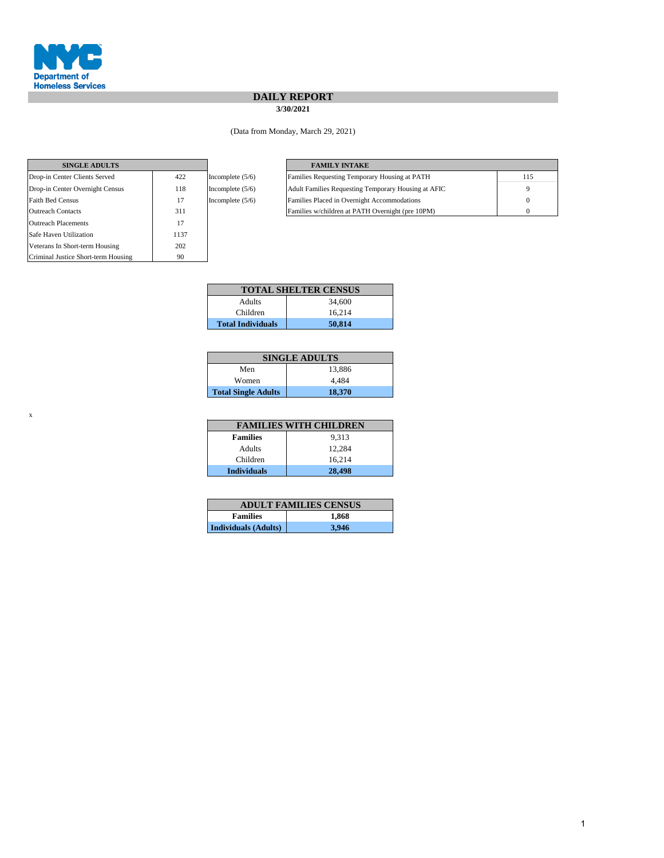

x

## **DAILY REPORT**

**3/30/2021**

(Data from Monday, March 29, 2021)

| <b>SINGLE ADULTS</b>                |      |                    | <b>FAMILY INTAKE</b>               |
|-------------------------------------|------|--------------------|------------------------------------|
| Drop-in Center Clients Served       | 422  | Incomplete $(5/6)$ | <b>Families Requesting Tempor</b>  |
| Drop-in Center Overnight Census     | 118  | Incomplete $(5/6)$ | <b>Adult Families Requesting T</b> |
| <b>Faith Bed Census</b>             | 17   | Incomplete $(5/6)$ | Families Placed in Overnight       |
| <b>Outreach Contacts</b>            | 311  |                    | Families w/children at PATH        |
| <b>Outreach Placements</b>          | 17   |                    |                                    |
| Safe Haven Utilization              | 1137 |                    |                                    |
| Veterans In Short-term Housing      | 202  |                    |                                    |
| Criminal Justice Short-term Housing | 90   |                    |                                    |

| <b>SINGLE ADULTS</b>            |     |                    | <b>FAMILY INTAKE</b>                                |     |
|---------------------------------|-----|--------------------|-----------------------------------------------------|-----|
| Drop-in Center Clients Served   | 422 | Incomplete $(5/6)$ | Families Requesting Temporary Housing at PATH       | 115 |
| Drop-in Center Overnight Census | 118 | Incomplete $(5/6)$ | Adult Families Requesting Temporary Housing at AFIC |     |
| Faith Bed Census                |     | Incomplete $(5/6)$ | Families Placed in Overnight Accommodations         |     |
| Outreach Contacts               | 311 |                    | Families w/children at PATH Overnight (pre 10PM)    |     |

|                          | <b>TOTAL SHELTER CENSUS</b> |
|--------------------------|-----------------------------|
| Adults                   | 34,600                      |
| Children                 | 16.214                      |
| <b>Total Individuals</b> | 50.814                      |

|                            | <b>SINGLE ADULTS</b> |
|----------------------------|----------------------|
| Men                        | 13.886               |
| Women                      | 4.484                |
| <b>Total Single Adults</b> | 18,370               |

|                    | <b>FAMILIES WITH CHILDREN</b> |
|--------------------|-------------------------------|
| <b>Families</b>    | 9.313                         |
| Adults             | 12.284                        |
| Children           | 16.214                        |
| <b>Individuals</b> | 28,498                        |

|                             | <b>ADULT FAMILIES CENSUS</b> |
|-----------------------------|------------------------------|
| <b>Families</b>             | 1.868                        |
| <b>Individuals (Adults)</b> | 3,946                        |